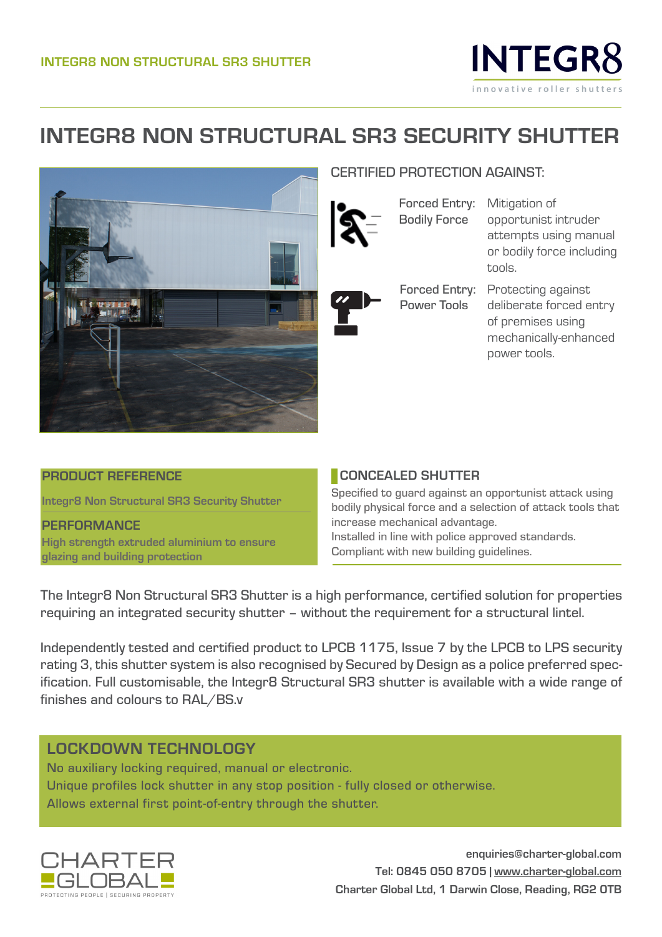

# **INTEGR8 NON STRUCTURAL SR3 SECURITY SHUTTER**



# CERTIFIED PROTECTION AGAINST:

Forced Entry: Mitigation of Bodily Force

Power Tools

or bodily force including tools. Forced Entry: Protecting against

opportunist intruder attempts using manual

deliberate forced entry of premises using mechanically-enhanced power tools.

#### **PRODUCT REFERENCE**

**Integr8 Non Structural SR3 Security Shutter**

**PERFORMANCE High strength extruded aluminium to ensure glazing and building protection**

#### **CONCEALED SHUTTER**

Specified to guard against an opportunist attack using bodily physical force and a selection of attack tools that increase mechanical advantage. Installed in line with police approved standards. Compliant with new building guidelines.

The Integr8 Non Structural SR3 Shutter is a high performance, certified solution for properties requiring an integrated security shutter – without the requirement for a structural lintel.

Independently tested and certified product to LPCB 1175, Issue 7 by the LPCB to LPS security rating 3, this shutter system is also recognised by Secured by Design as a police preferred specification. Full customisable, the Integr8 Structural SR3 shutter is available with a wide range of finishes and colours to RAL/BS.v

# LOCKDOWN TECHNOLOGY

No auxiliary locking required, manual or electronic. Unique profiles lock shutter in any stop position - fully closed or otherwise. Allows external first point-of-entry through the shutter.



**enquiries@charter-global.com Tel: 0845 050 8705 | www.charter-global.com Charter Global Ltd, 1 Darwin Close, Reading, RG2 0TB**